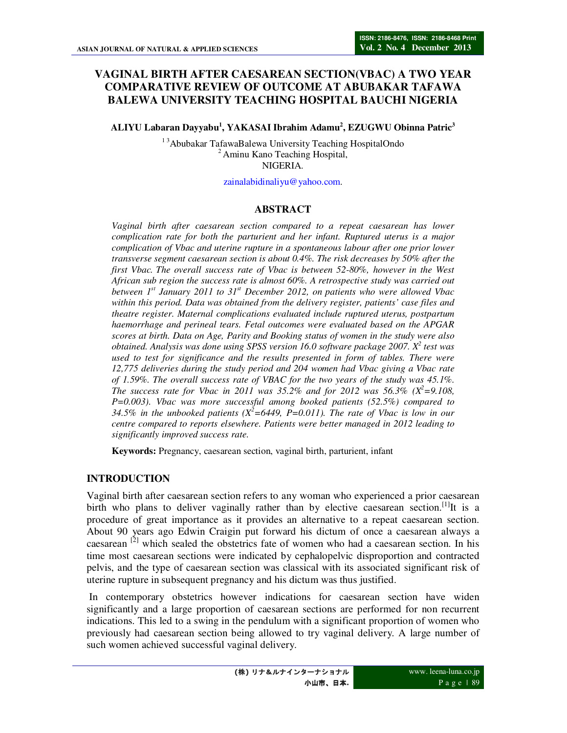# **VAGINAL BIRTH AFTER CAESAREAN SECTION(VBAC) A TWO YEAR COMPARATIVE REVIEW OF OUTCOME AT ABUBAKAR TAFAWA BALEWA UNIVERSITY TEACHING HOSPITAL BAUCHI NIGERIA**

**ALIYU Labaran Dayyabu<sup>1</sup> , YAKASAI Ibrahim Adamu<sup>2</sup> , EZUGWU Obinna Patric<sup>3</sup>**

<sup>13</sup>Abubakar TafawaBalewa University Teaching HospitalOndo <sup>2</sup> Aminu Kano Teaching Hospital, NIGERIA.

zainalabidinaliyu@yahoo.com.

### **ABSTRACT**

*Vaginal birth after caesarean section compared to a repeat caesarean has lower complication rate for both the parturient and her infant. Ruptured uterus is a major complication of Vbac and uterine rupture in a spontaneous labour after one prior lower transverse segment caesarean section is about 0.4%. The risk decreases by 50% after the first Vbac. The overall success rate of Vbac is between 52-80%, however in the West African sub region the success rate is almost 60%. A retrospective study was carried out between 1st January 2011 to 31st December 2012, on patients who were allowed Vbac within this period. Data was obtained from the delivery register, patients' case files and theatre register. Maternal complications evaluated include ruptured uterus, postpartum haemorrhage and perineal tears. Fetal outcomes were evaluated based on the APGAR scores at birth. Data on Age, Parity and Booking status of women in the study were also obtained. Analysis was done using SPSS version 16.0 software package 2007. X<sup>2</sup> test was used to test for significance and the results presented in form of tables. There were 12,775 deliveries during the study period and 204 women had Vbac giving a Vbac rate of 1.59%. The overall success rate of VBAC for the two years of the study was 45.1%. The success rate for Vbac in 2011 was 35.2% and for 2012 was 56.3% (* $X^2 = 9.108$ *,*  $X^3 = 9.108$ *). P=0.003). Vbac was more successful among booked patients (52.5%) compared to*  34.5% in the unbooked patients  $(X^2=6449, P=0.011)$ . The rate of Vbac is low in our *centre compared to reports elsewhere. Patients were better managed in 2012 leading to significantly improved success rate.* 

**Keywords:** Pregnancy, caesarean section, vaginal birth, parturient, infant

## **INTRODUCTION**

Vaginal birth after caesarean section refers to any woman who experienced a prior caesarean birth who plans to deliver vaginally rather than by elective caesarean section.<sup>[1]</sup>It is a procedure of great importance as it provides an alternative to a repeat caesarean section. About 90 years ago Edwin Craigin put forward his dictum of once a caesarean always a caesarean <sup>[2]</sup> which sealed the obstetrics fate of women who had a caesarean section. In his time most caesarean sections were indicated by cephalopelvic disproportion and contracted pelvis, and the type of caesarean section was classical with its associated significant risk of uterine rupture in subsequent pregnancy and his dictum was thus justified.

 In contemporary obstetrics however indications for caesarean section have widen significantly and a large proportion of caesarean sections are performed for non recurrent indications. This led to a swing in the pendulum with a significant proportion of women who previously had caesarean section being allowed to try vaginal delivery. A large number of such women achieved successful vaginal delivery.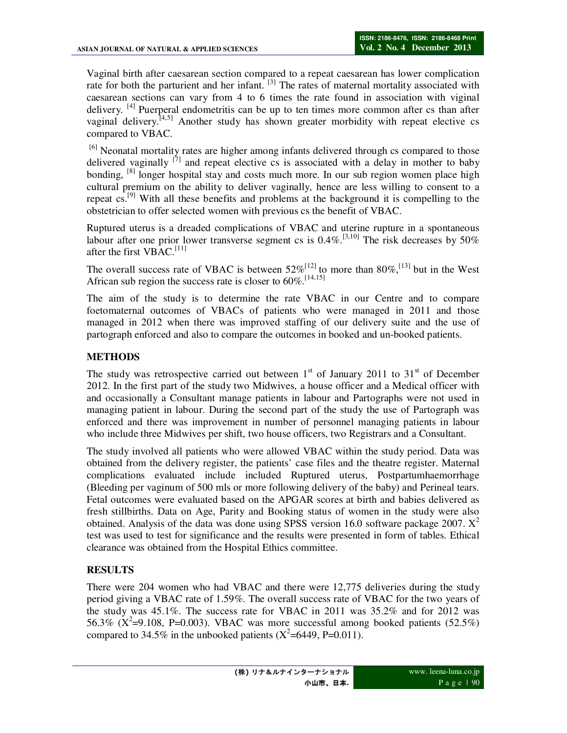Vaginal birth after caesarean section compared to a repeat caesarean has lower complication rate for both the parturient and her infant. <sup>[3]</sup> The rates of maternal mortality associated with caesarean sections can vary from 4 to 6 times the rate found in association with viginal delivery. <sup>[4]</sup> Puerperal endometritis can be up to ten times more common after cs than after vaginal delivery.<sup>[4,5]</sup> Another study has shown greater morbidity with repeat elective cs compared to VBAC.

<sup>[6]</sup> Neonatal mortality rates are higher among infants delivered through cs compared to those delivered vaginally  $^{[7]}$  and repeat elective cs is associated with a delay in mother to baby bonding, <sup>[8]</sup> longer hospital stay and costs much more. In our sub region women place high cultural premium on the ability to deliver vaginally, hence are less willing to consent to a repeat  $cs.^{[9]}$  With all these benefits and problems at the background it is compelling to the obstetrician to offer selected women with previous cs the benefit of VBAC.

Ruptured uterus is a dreaded complications of VBAC and uterine rupture in a spontaneous labour after one prior lower transverse segment cs is  $0.4\%$ .<sup>[3,10]</sup> The risk decreases by 50% after the first  $VBAC$ <sup>[11]</sup>

The overall success rate of VBAC is between  $52\%^{[12]}$  to more than  $80\%$ , <sup>[13]</sup> but in the West African sub region the success rate is closer to  $60\%$ .<sup>[14,15]</sup>

The aim of the study is to determine the rate VBAC in our Centre and to compare foetomaternal outcomes of VBACs of patients who were managed in 2011 and those managed in 2012 when there was improved staffing of our delivery suite and the use of partograph enforced and also to compare the outcomes in booked and un-booked patients.

# **METHODS**

The study was retrospective carried out between  $1<sup>st</sup>$  of January 2011 to 31<sup>st</sup> of December 2012. In the first part of the study two Midwives, a house officer and a Medical officer with and occasionally a Consultant manage patients in labour and Partographs were not used in managing patient in labour. During the second part of the study the use of Partograph was enforced and there was improvement in number of personnel managing patients in labour who include three Midwives per shift, two house officers, two Registrars and a Consultant.

The study involved all patients who were allowed VBAC within the study period. Data was obtained from the delivery register, the patients' case files and the theatre register. Maternal complications evaluated include included Ruptured uterus, Postpartumhaemorrhage (Bleeding per vaginum of 500 mls or more following delivery of the baby) and Perineal tears. Fetal outcomes were evaluated based on the APGAR scores at birth and babies delivered as fresh stillbirths. Data on Age, Parity and Booking status of women in the study were also obtained. Analysis of the data was done using SPSS version 16.0 software package 2007.  $X^2$ test was used to test for significance and the results were presented in form of tables. Ethical clearance was obtained from the Hospital Ethics committee.

## **RESULTS**

There were 204 women who had VBAC and there were 12,775 deliveries during the study period giving a VBAC rate of 1.59%. The overall success rate of VBAC for the two years of the study was 45.1%. The success rate for VBAC in 2011 was 35.2% and for 2012 was 56.3% ( $\rm X^2=9.108$ , P=0.003). VBAC was more successful among booked patients (52.5%) compared to 34.5% in the unbooked patients  $(X^2=6449, P=0.011)$ .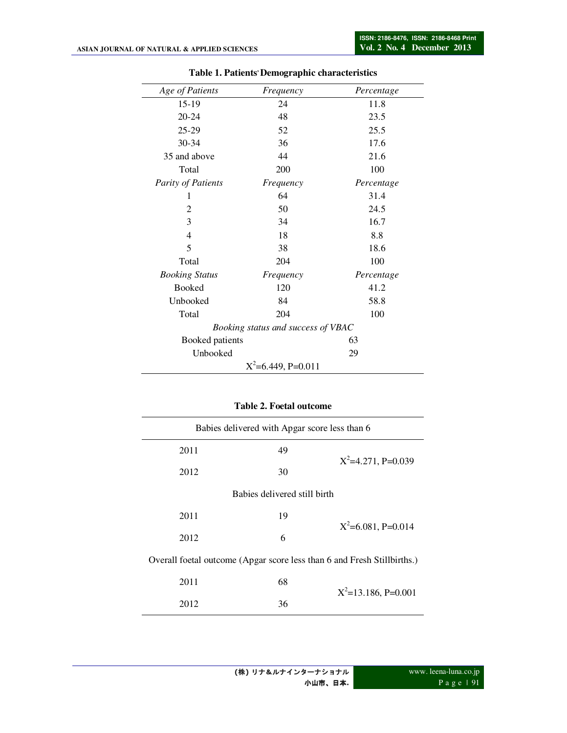| Age of Patients       | Frequency                          | Percentage |
|-----------------------|------------------------------------|------------|
| 15-19                 | 24                                 | 11.8       |
| $20 - 24$             | 48                                 | 23.5       |
| 25-29                 | 52                                 | 25.5       |
| $30 - 34$             | 36                                 | 17.6       |
| 35 and above          | 44                                 | 21.6       |
| Total                 | 200                                | 100        |
| Parity of Patients    | Frequency                          | Percentage |
| 1                     | 64                                 | 31.4       |
| 2                     | 50                                 | 24.5       |
| 3                     | 34                                 | 16.7       |
| $\overline{4}$        | 18                                 | 8.8        |
| 5                     | 38                                 | 18.6       |
| Total                 | 204                                | 100        |
| <b>Booking Status</b> | Frequency                          | Percentage |
| <b>Booked</b>         | 120                                | 41.2       |
| Unbooked              | 84                                 | 58.8       |
| Total                 | 204                                | 100        |
|                       | Booking status and success of VBAC |            |
| Booked patients       |                                    | 63         |
| Unbooked              |                                    | 29         |
|                       | $X^2$ =6.449, P=0.011              |            |

#### **Table 1. Patients, Demographic characteristics**

### **Table 2. Foetal outcome**

| Babies delivered with Apgar score less than 6                           |    |                        |  |  |
|-------------------------------------------------------------------------|----|------------------------|--|--|
| 2011                                                                    | 49 | $X^2=4.271$ , P=0.039  |  |  |
| 2012                                                                    | 30 |                        |  |  |
| Babies delivered still birth                                            |    |                        |  |  |
| 2011                                                                    | 19 |                        |  |  |
| 2012                                                                    | 6  | $X^2$ =6.081, P=0.014  |  |  |
| Overall foetal outcome (Apgar score less than 6 and Fresh Stillbirths.) |    |                        |  |  |
| 2011                                                                    | 68 |                        |  |  |
| 2012                                                                    | 36 | $X^2=13.186$ , P=0.001 |  |  |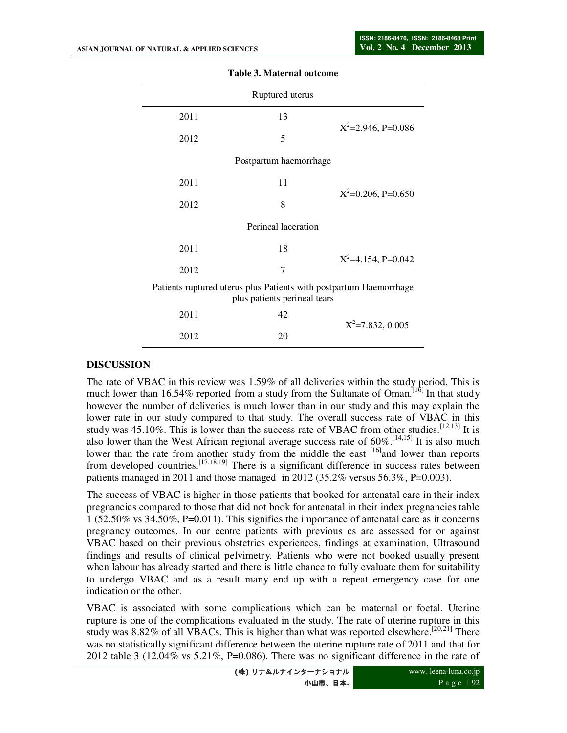|      | Ruptured uterus              |                                                                    |
|------|------------------------------|--------------------------------------------------------------------|
| 2011 | 13                           |                                                                    |
| 2012 | 5                            | $X^2 = 2.946$ , P=0.086                                            |
|      | Postpartum haemorrhage       |                                                                    |
| 2011 | 11                           |                                                                    |
| 2012 | 8                            | $X^2=0.206$ , P=0.650                                              |
|      | Perineal laceration          |                                                                    |
| 2011 | 18                           |                                                                    |
| 2012 | $\overline{7}$               | $X^2$ =4.154, P=0.042                                              |
|      | plus patients perineal tears | Patients ruptured uterus plus Patients with postpartum Haemorrhage |
| 2011 | 42                           | $X^2 = 7.832, 0.005$                                               |
| 2012 | 20                           |                                                                    |

#### **Table 3. Maternal outcome**

## **DISCUSSION**

The rate of VBAC in this review was 1.59% of all deliveries within the study period. This is much lower than 16.54% reported from a study from the Sultanate of Oman.<sup>[16]</sup> In that study however the number of deliveries is much lower than in our study and this may explain the lower rate in our study compared to that study. The overall success rate of VBAC in this study was  $45.10\%$ . This is lower than the success rate of VBAC from other studies.  $^{[12,13]}$  It is also lower than the West African regional average success rate of  $60\%$ .<sup>[14,15]</sup> It is also much lower than the rate from another study from the middle the east <sup>[16]</sup>and lower than reports from developed countries.<sup>[17,18,19]</sup> There is a significant difference in success rates between patients managed in 2011 and those managed in 2012 (35.2% versus 56.3%, P=0.003).

The success of VBAC is higher in those patients that booked for antenatal care in their index pregnancies compared to those that did not book for antenatal in their index pregnancies table 1 (52.50% vs 34.50%, P=0.011). This signifies the importance of antenatal care as it concerns pregnancy outcomes. In our centre patients with previous cs are assessed for or against VBAC based on their previous obstetrics experiences, findings at examination, Ultrasound findings and results of clinical pelvimetry. Patients who were not booked usually present when labour has already started and there is little chance to fully evaluate them for suitability to undergo VBAC and as a result many end up with a repeat emergency case for one indication or the other.

VBAC is associated with some complications which can be maternal or foetal. Uterine rupture is one of the complications evaluated in the study. The rate of uterine rupture in this study was  $8.82\%$  of all VBACs. This is higher than what was reported elsewhere.<sup>[20,21]</sup> There was no statistically significant difference between the uterine rupture rate of 2011 and that for 2012 table 3 (12.04% vs  $5.21\%$ , P=0.086). There was no significant difference in the rate of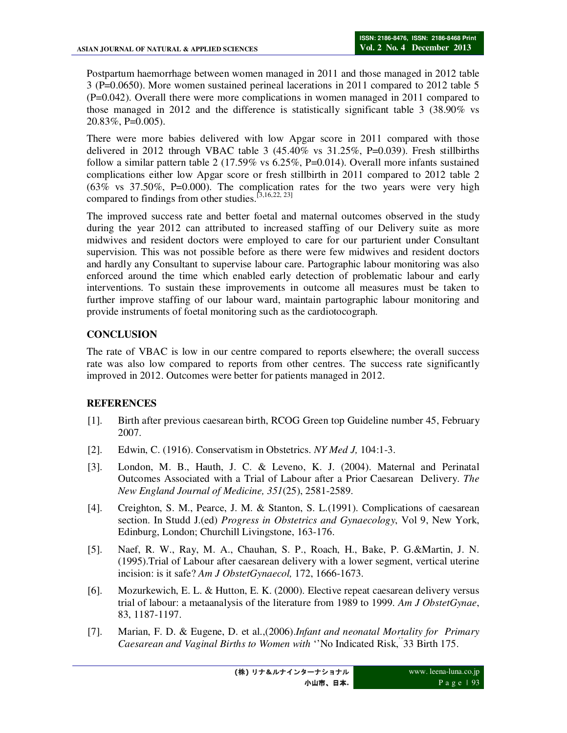Postpartum haemorrhage between women managed in 2011 and those managed in 2012 table 3 (P=0.0650). More women sustained perineal lacerations in 2011 compared to 2012 table 5 (P=0.042). Overall there were more complications in women managed in 2011 compared to those managed in 2012 and the difference is statistically significant table 3 (38.90% vs 20.83%, P=0.005).

There were more babies delivered with low Apgar score in 2011 compared with those delivered in 2012 through VBAC table 3  $(45.40\% \text{ vs } 31.25\%, \text{P} = 0.039)$ . Fresh stillbirths follow a similar pattern table 2 (17.59% vs  $6.25\%$ , P=0.014). Overall more infants sustained complications either low Apgar score or fresh stillbirth in 2011 compared to 2012 table 2  $(63\%$  vs  $37.50\%$ , P=0.000). The complication rates for the two years were very high compared to findings from other studies.<sup>[3,16,22, 23]</sup>

The improved success rate and better foetal and maternal outcomes observed in the study during the year 2012 can attributed to increased staffing of our Delivery suite as more midwives and resident doctors were employed to care for our parturient under Consultant supervision. This was not possible before as there were few midwives and resident doctors and hardly any Consultant to supervise labour care. Partographic labour monitoring was also enforced around the time which enabled early detection of problematic labour and early interventions. To sustain these improvements in outcome all measures must be taken to further improve staffing of our labour ward, maintain partographic labour monitoring and provide instruments of foetal monitoring such as the cardiotocograph.

# **CONCLUSION**

The rate of VBAC is low in our centre compared to reports elsewhere; the overall success rate was also low compared to reports from other centres. The success rate significantly improved in 2012. Outcomes were better for patients managed in 2012.

## **REFERENCES**

- [1]. Birth after previous caesarean birth, RCOG Green top Guideline number 45, February 2007.
- [2]. Edwin, C. (1916). Conservatism in Obstetrics. *NY Med J,* 104:1-3.
- [3]. London, M. B., Hauth, J. C. & Leveno, K. J. (2004). Maternal and Perinatal Outcomes Associated with a Trial of Labour after a Prior Caesarean Delivery. *The New England Journal of Medicine, 351*(25), 2581-2589.
- [4]. Creighton, S. M., Pearce, J. M. & Stanton, S. L.(1991). Complications of caesarean section. In Studd J.(ed) *Progress in Obstetrics and Gynaecology*, Vol 9, New York, Edinburg, London; Churchill Livingstone, 163-176.
- [5]. Naef, R. W., Ray, M. A., Chauhan, S. P., Roach, H., Bake, P. G.&Martin, J. N. (1995).Trial of Labour after caesarean delivery with a lower segment, vertical uterine incision: is it safe? *Am J ObstetGynaecol,* 172, 1666-1673.
- [6]. Mozurkewich, E. L. & Hutton, E. K. (2000). Elective repeat caesarean delivery versus trial of labour: a metaanalysis of the literature from 1989 to 1999. *Am J ObstetGynae*, 83, 1187-1197.
- [7]. Marian, F. D. & Eugene, D. et al.,(2006).*Infant and neonatal Mortality for Primary Caesarean and Vaginal Births to Women with* ''No Indicated Risk,''33 Birth 175.